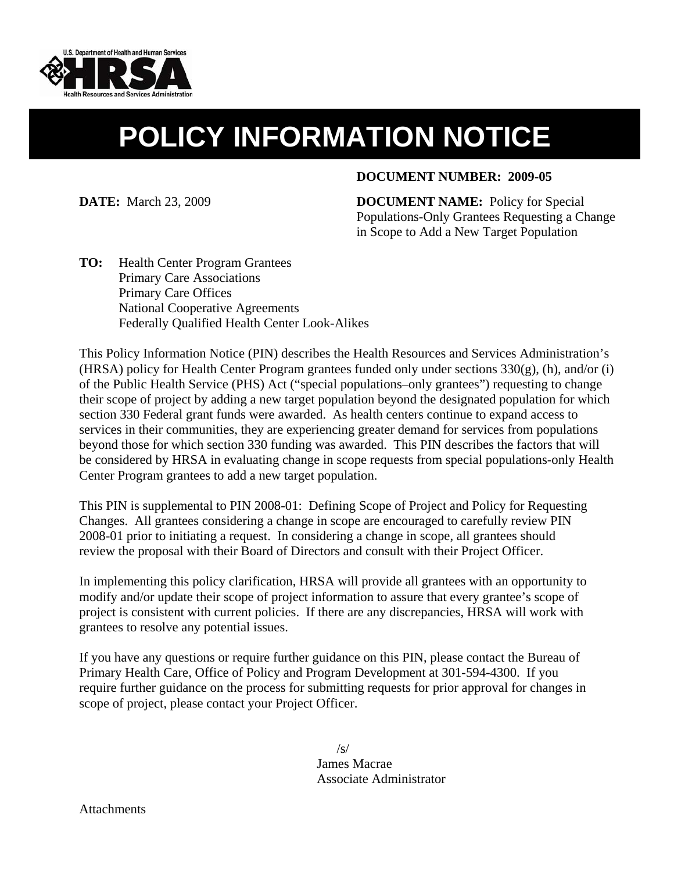

# **POLICY INFORMATION NOTICE**

#### **DOCUMENT NUMBER: 2009-05**

**DATE:** March 23, 2009 **DOCUMENT NAME:** Policy for Special Populations-Only Grantees Requesting a Change in Scope to Add a New Target Population

**TO:** Health Center Program Grantees Primary Care Associations Primary Care Offices National Cooperative Agreements Federally Qualified Health Center Look-Alikes

This Policy Information Notice (PIN) describes the Health Resources and Services Administration's (HRSA) policy for Health Center Program grantees funded only under sections 330(g), (h), and/or (i) of the Public Health Service (PHS) Act ("special populations–only grantees") requesting to change their scope of project by adding a new target population beyond the designated population for which section 330 Federal grant funds were awarded. As health centers continue to expand access to services in their communities, they are experiencing greater demand for services from populations beyond those for which section 330 funding was awarded. This PIN describes the factors that will be considered by HRSA in evaluating change in scope requests from special populations-only Health Center Program grantees to add a new target population.

This PIN is supplemental to PIN 2008-01: Defining Scope of Project and Policy for Requesting Changes. All grantees considering a change in scope are encouraged to carefully review PIN 2008-01 prior to initiating a request. In considering a change in scope, all grantees should review the proposal with their Board of Directors and consult with their Project Officer.

In implementing this policy clarification, HRSA will provide all grantees with an opportunity to modify and/or update their scope of project information to assure that every grantee's scope of project is consistent with current policies. If there are any discrepancies, HRSA will work with grantees to resolve any potential issues.

If you have any questions or require further guidance on this PIN, please contact the Bureau of Primary Health Care, Office of Policy and Program Development at 301-594-4300. If you require further guidance on the process for submitting requests for prior approval for changes in scope of project, please contact your Project Officer.

> /s/ James Macrae Associate Administrator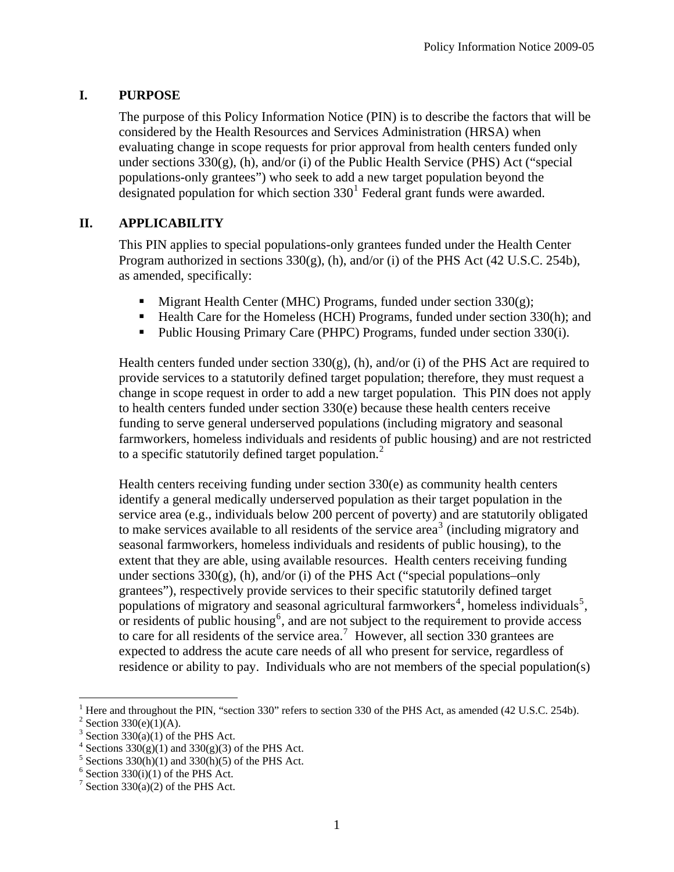## **I. PURPOSE**

The purpose of this Policy Information Notice (PIN) is to describe the factors that will be considered by the Health Resources and Services Administration (HRSA) when evaluating change in scope requests for prior approval from health centers funded only under sections  $330(g)$ , (h), and/or (i) of the Public Health Service (PHS) Act ("special populations-only grantees") who seek to add a new target population beyond the designated population for which section  $330<sup>1</sup>$  $330<sup>1</sup>$  $330<sup>1</sup>$  Federal grant funds were awarded.

## **II. APPLICABILITY**

This PIN applies to special populations-only grantees funded under the Health Center Program authorized in sections 330(g), (h), and/or (i) of the PHS Act (42 U.S.C. 254b), as amended, specifically:

- $\blacksquare$  Migrant Health Center (MHC) Programs, funded under section 330(g);
- Health Care for the Homeless (HCH) Programs, funded under section 330(h); and
- Public Housing Primary Care (PHPC) Programs, funded under section 330(i).

Health centers funded under section  $330(g)$ , (h), and/or (i) of the PHS Act are required to provide services to a statutorily defined target population; therefore, they must request a change in scope request in order to add a new target population. This PIN does not apply to health centers funded under section 330(e) because these health centers receive funding to serve general underserved populations (including migratory and seasonal farmworkers, homeless individuals and residents of public housing) and are not restricted to a specific statutorily defined target population.<sup>[2](#page-1-1)</sup>

Health centers receiving funding under section 330(e) as community health centers identify a general medically underserved population as their target population in the service area (e.g., individuals below 200 percent of poverty) and are statutorily obligated to make services available to all residents of the service area<sup>[3](#page-1-2)</sup> (including migratory and seasonal farmworkers, homeless individuals and residents of public housing), to the extent that they are able, using available resources. Health centers receiving funding under sections  $330(g)$ , (h), and/or (i) of the PHS Act ("special populations–only grantees"), respectively provide services to their specific statutorily defined target populations of migratory and seasonal agricultural farmworkers<sup>[4](#page-1-3)</sup>, homeless individuals<sup>[5](#page-1-4)</sup>, or residents of public housing<sup>[6](#page-1-5)</sup>, and are not subject to the requirement to provide access to care for all residents of the service area.<sup>[7](#page-1-6)</sup> However, all section 330 grantees are expected to address the acute care needs of all who present for service, regardless of residence or ability to pay. Individuals who are not members of the special population(s)

<span id="page-1-1"></span><span id="page-1-0"></span><sup>&</sup>lt;sup>1</sup> Here and throughout the PIN, "section 330" refers to section 330 of the PHS Act, as amended (42 U.S.C. 254b).

<sup>&</sup>lt;sup>2</sup> Section 330(e)(1)(A).

<span id="page-1-2"></span> $3$  Section 330(a)(1) of the PHS Act.

<span id="page-1-3"></span> $4$  Sections 330(g)(1) and 330(g)(3) of the PHS Act.

<span id="page-1-4"></span> $5$  Sections 330(h)(1) and 330(h)(5) of the PHS Act.

<span id="page-1-5"></span> $6$  Section 330(i)(1) of the PHS Act.

<span id="page-1-6"></span><sup>&</sup>lt;sup>7</sup> Section 330(a)(2) of the PHS Act.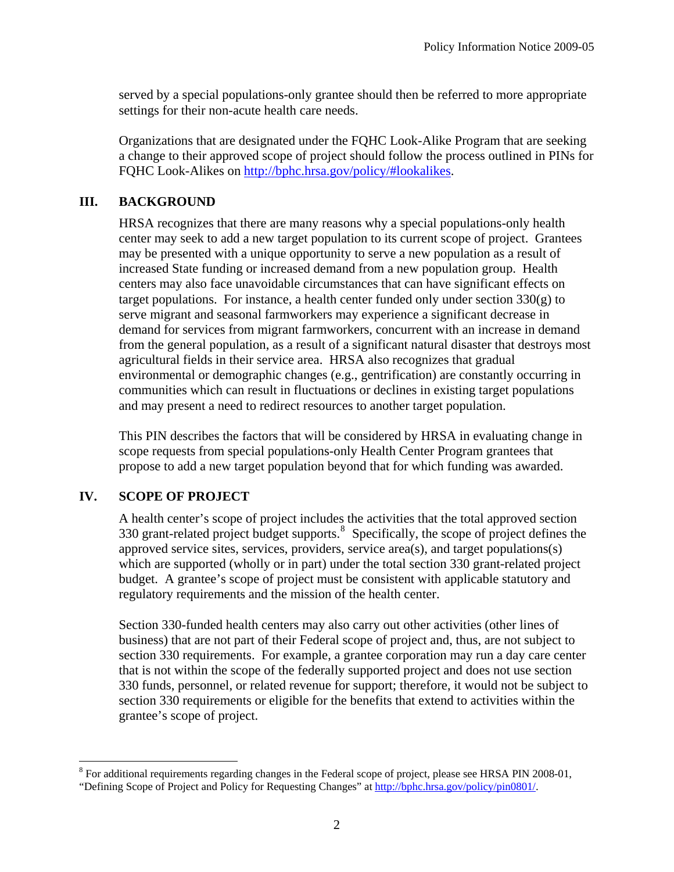served by a special populations-only grantee should then be referred to more appropriate settings for their non-acute health care needs.

Organizations that are designated under the FQHC Look-Alike Program that are seeking a change to their approved scope of project should follow the process outlined in PINs for FQHC Look-Alikes on [http://bphc.hrsa.gov/policy/#lookalikes.](http://bphc.hrsa.gov/policy/#lookalikes)

## **III. BACKGROUND**

HRSA recognizes that there are many reasons why a special populations-only health center may seek to add a new target population to its current scope of project. Grantees may be presented with a unique opportunity to serve a new population as a result of increased State funding or increased demand from a new population group. Health centers may also face unavoidable circumstances that can have significant effects on target populations. For instance, a health center funded only under section  $330(g)$  to serve migrant and seasonal farmworkers may experience a significant decrease in demand for services from migrant farmworkers, concurrent with an increase in demand from the general population, as a result of a significant natural disaster that destroys most agricultural fields in their service area. HRSA also recognizes that gradual environmental or demographic changes (e.g., gentrification) are constantly occurring in communities which can result in fluctuations or declines in existing target populations and may present a need to redirect resources to another target population.

This PIN describes the factors that will be considered by HRSA in evaluating change in scope requests from special populations-only Health Center Program grantees that propose to add a new target population beyond that for which funding was awarded.

# **IV. SCOPE OF PROJECT**

A health center's scope of project includes the activities that the total approved section 330 grant-related project budget supports.<sup>[8](#page-2-0)</sup> Specifically, the scope of project defines the approved service sites, services, providers, service area(s), and target populations(s) which are supported (wholly or in part) under the total section 330 grant-related project budget. A grantee's scope of project must be consistent with applicable statutory and regulatory requirements and the mission of the health center.

Section 330-funded health centers may also carry out other activities (other lines of business) that are not part of their Federal scope of project and, thus, are not subject to section 330 requirements. For example, a grantee corporation may run a day care center that is not within the scope of the federally supported project and does not use section 330 funds, personnel, or related revenue for support; therefore, it would not be subject to section 330 requirements or eligible for the benefits that extend to activities within the grantee's scope of project.

<span id="page-2-0"></span><sup>&</sup>lt;sup>8</sup> For additional requirements regarding changes in the Federal scope of project, please see HRSA PIN 2008-01, "Defining Scope of Project and Policy for Requesting Changes" at [http://bphc.hrsa.gov/policy/pin0801/.](http://bphc.hrsa.gov/policy/pin0801/)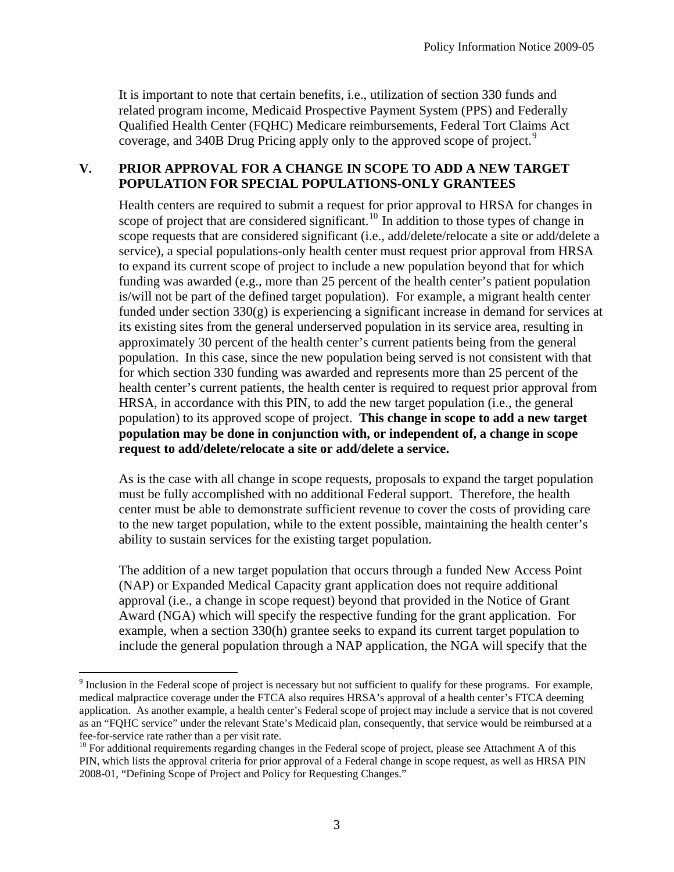It is important to note that certain benefits, i.e., utilization of section 330 funds and related program income, Medicaid Prospective Payment System (PPS) and Federally Qualified Health Center (FQHC) Medicare reimbursements, Federal Tort Claims Act coverage, and 340B Drug Pricing apply only to the approved scope of project.<sup>[9](#page-3-0)</sup>

## **V. PRIOR APPROVAL FOR A CHANGE IN SCOPE TO ADD A NEW TARGET POPULATION FOR SPECIAL POPULATIONS-ONLY GRANTEES**

Health centers are required to submit a request for prior approval to HRSA for changes in scope of project that are considered significant.<sup>[10](#page-3-1)</sup> In addition to those types of change in scope requests that are considered significant (i.e., add/delete/relocate a site or add/delete a service), a special populations-only health center must request prior approval from HRSA to expand its current scope of project to include a new population beyond that for which funding was awarded (e.g., more than 25 percent of the health center's patient population is/will not be part of the defined target population). For example, a migrant health center funded under section  $330(g)$  is experiencing a significant increase in demand for services at its existing sites from the general underserved population in its service area, resulting in approximately 30 percent of the health center's current patients being from the general population. In this case, since the new population being served is not consistent with that for which section 330 funding was awarded and represents more than 25 percent of the health center's current patients, the health center is required to request prior approval from HRSA, in accordance with this PIN, to add the new target population (i.e., the general population) to its approved scope of project. **This change in scope to add a new target population may be done in conjunction with, or independent of, a change in scope request to add/delete/relocate a site or add/delete a service.** 

As is the case with all change in scope requests, proposals to expand the target population must be fully accomplished with no additional Federal support. Therefore, the health center must be able to demonstrate sufficient revenue to cover the costs of providing care to the new target population, while to the extent possible, maintaining the health center's ability to sustain services for the existing target population.

The addition of a new target population that occurs through a funded New Access Point (NAP) or Expanded Medical Capacity grant application does not require additional approval (i.e., a change in scope request) beyond that provided in the Notice of Grant Award (NGA) which will specify the respective funding for the grant application. For example, when a section 330(h) grantee seeks to expand its current target population to include the general population through a NAP application, the NGA will specify that the

<span id="page-3-0"></span> $9$  Inclusion in the Federal scope of project is necessary but not sufficient to qualify for these programs. For example, medical malpractice coverage under the FTCA also requires HRSA's approval of a health center's FTCA deeming application. As another example, a health center's Federal scope of project may include a service that is not covered as an "FQHC service" under the relevant State's Medicaid plan, consequently, that service would be reimbursed at a fee-for-service rate rather than a per visit rate.

<span id="page-3-1"></span> $10$  For additional requirements regarding changes in the Federal scope of project, please see Attachment A of this PIN, which lists the approval criteria for prior approval of a Federal change in scope request, as well as HRSA PIN 2008-01, "Defining Scope of Project and Policy for Requesting Changes."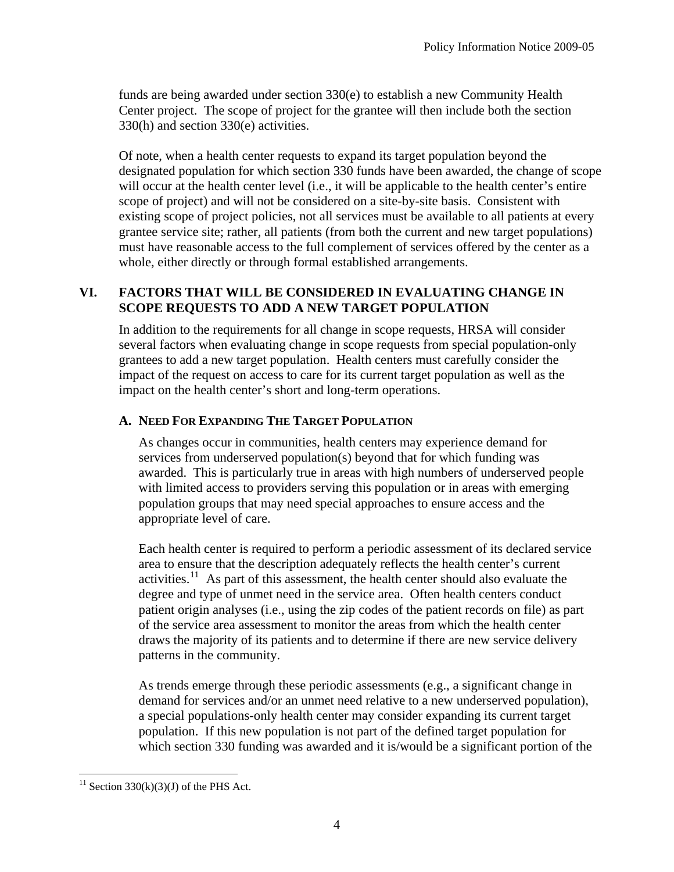funds are being awarded under section 330(e) to establish a new Community Health Center project. The scope of project for the grantee will then include both the section 330(h) and section 330(e) activities.

Of note, when a health center requests to expand its target population beyond the designated population for which section 330 funds have been awarded, the change of scope will occur at the health center level (i.e., it will be applicable to the health center's entire scope of project) and will not be considered on a site-by-site basis. Consistent with existing scope of project policies, not all services must be available to all patients at every grantee service site; rather, all patients (from both the current and new target populations) must have reasonable access to the full complement of services offered by the center as a whole, either directly or through formal established arrangements.

## **VI. FACTORS THAT WILL BE CONSIDERED IN EVALUATING CHANGE IN SCOPE REQUESTS TO ADD A NEW TARGET POPULATION**

In addition to the requirements for all change in scope requests, HRSA will consider several factors when evaluating change in scope requests from special population-only grantees to add a new target population. Health centers must carefully consider the impact of the request on access to care for its current target population as well as the impact on the health center's short and long-term operations.

## **A. NEED FOR EXPANDING THE TARGET POPULATION**

As changes occur in communities, health centers may experience demand for services from underserved population(s) beyond that for which funding was awarded. This is particularly true in areas with high numbers of underserved people with limited access to providers serving this population or in areas with emerging population groups that may need special approaches to ensure access and the appropriate level of care.

Each health center is required to perform a periodic assessment of its declared service area to ensure that the description adequately reflects the health center's current activities.<sup>[11](#page-4-0)</sup> As part of this assessment, the health center should also evaluate the degree and type of unmet need in the service area. Often health centers conduct patient origin analyses (i.e., using the zip codes of the patient records on file) as part of the service area assessment to monitor the areas from which the health center draws the majority of its patients and to determine if there are new service delivery patterns in the community.

As trends emerge through these periodic assessments (e.g., a significant change in demand for services and/or an unmet need relative to a new underserved population), a special populations-only health center may consider expanding its current target population. If this new population is not part of the defined target population for which section 330 funding was awarded and it is/would be a significant portion of the

<span id="page-4-0"></span> $\overline{a}$ <sup>11</sup> Section 330(k)(3)(J) of the PHS Act.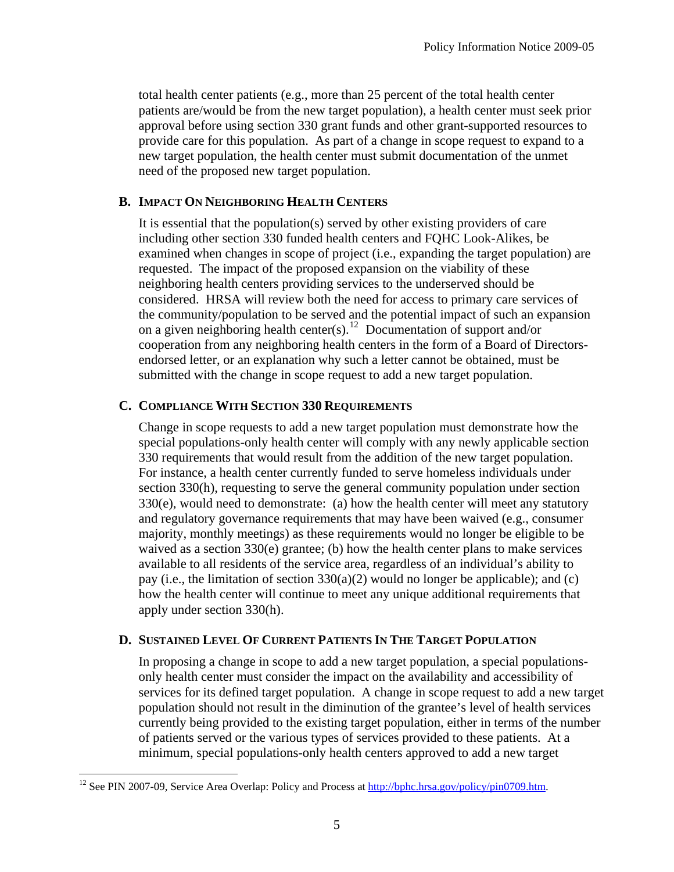total health center patients (e.g., more than 25 percent of the total health center patients are/would be from the new target population), a health center must seek prior approval before using section 330 grant funds and other grant-supported resources to provide care for this population. As part of a change in scope request to expand to a new target population, the health center must submit documentation of the unmet need of the proposed new target population.

### **B. IMPACT ON NEIGHBORING HEALTH CENTERS**

It is essential that the population(s) served by other existing providers of care including other section 330 funded health centers and FQHC Look-Alikes, be examined when changes in scope of project (i.e., expanding the target population) are requested. The impact of the proposed expansion on the viability of these neighboring health centers providing services to the underserved should be considered. HRSA will review both the need for access to primary care services of the community/population to be served and the potential impact of such an expansion on a given neighboring health center(s).<sup>[12](#page-5-0)</sup> Documentation of support and/or cooperation from any neighboring health centers in the form of a Board of Directorsendorsed letter, or an explanation why such a letter cannot be obtained, must be submitted with the change in scope request to add a new target population.

#### **C. COMPLIANCE WITH SECTION 330 REQUIREMENTS**

Change in scope requests to add a new target population must demonstrate how the special populations-only health center will comply with any newly applicable section 330 requirements that would result from the addition of the new target population. For instance, a health center currently funded to serve homeless individuals under section 330(h), requesting to serve the general community population under section 330(e), would need to demonstrate: (a) how the health center will meet any statutory and regulatory governance requirements that may have been waived (e.g., consumer majority, monthly meetings) as these requirements would no longer be eligible to be waived as a section  $330(e)$  grantee; (b) how the health center plans to make services available to all residents of the service area, regardless of an individual's ability to pay (i.e., the limitation of section 330(a)(2) would no longer be applicable); and (c) how the health center will continue to meet any unique additional requirements that apply under section 330(h).

## **D. SUSTAINED LEVEL OF CURRENT PATIENTS IN THE TARGET POPULATION**

In proposing a change in scope to add a new target population, a special populationsonly health center must consider the impact on the availability and accessibility of services for its defined target population. A change in scope request to add a new target population should not result in the diminution of the grantee's level of health services currently being provided to the existing target population, either in terms of the number of patients served or the various types of services provided to these patients. At a minimum, special populations-only health centers approved to add a new target

<span id="page-5-0"></span><sup>&</sup>lt;sup>12</sup> See PIN 2007-09, Service Area Overlap: Policy and Process at [http://bphc.hrsa.gov/policy/pin0709.htm.](http://bphc.hrsa.gov/policy/pin0709.htm)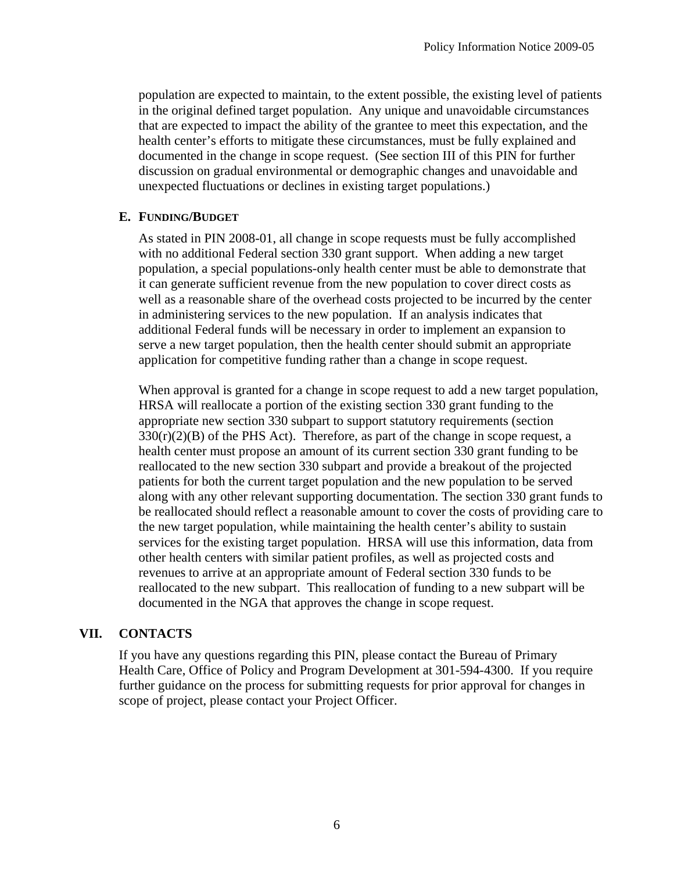population are expected to maintain, to the extent possible, the existing level of patients in the original defined target population. Any unique and unavoidable circumstances that are expected to impact the ability of the grantee to meet this expectation, and the health center's efforts to mitigate these circumstances, must be fully explained and documented in the change in scope request. (See section III of this PIN for further discussion on gradual environmental or demographic changes and unavoidable and unexpected fluctuations or declines in existing target populations.)

## **E. FUNDING/BUDGET**

As stated in PIN 2008-01, all change in scope requests must be fully accomplished with no additional Federal section 330 grant support. When adding a new target population, a special populations-only health center must be able to demonstrate that it can generate sufficient revenue from the new population to cover direct costs as well as a reasonable share of the overhead costs projected to be incurred by the center in administering services to the new population. If an analysis indicates that additional Federal funds will be necessary in order to implement an expansion to serve a new target population, then the health center should submit an appropriate application for competitive funding rather than a change in scope request.

When approval is granted for a change in scope request to add a new target population, HRSA will reallocate a portion of the existing section 330 grant funding to the appropriate new section 330 subpart to support statutory requirements (section  $330(r)(2)(B)$  of the PHS Act). Therefore, as part of the change in scope request, a health center must propose an amount of its current section 330 grant funding to be reallocated to the new section 330 subpart and provide a breakout of the projected patients for both the current target population and the new population to be served along with any other relevant supporting documentation. The section 330 grant funds to be reallocated should reflect a reasonable amount to cover the costs of providing care to the new target population, while maintaining the health center's ability to sustain services for the existing target population. HRSA will use this information, data from other health centers with similar patient profiles, as well as projected costs and revenues to arrive at an appropriate amount of Federal section 330 funds to be reallocated to the new subpart. This reallocation of funding to a new subpart will be documented in the NGA that approves the change in scope request.

# **VII. CONTACTS**

If you have any questions regarding this PIN, please contact the Bureau of Primary Health Care, Office of Policy and Program Development at 301-594-4300. If you require further guidance on the process for submitting requests for prior approval for changes in scope of project, please contact your Project Officer.